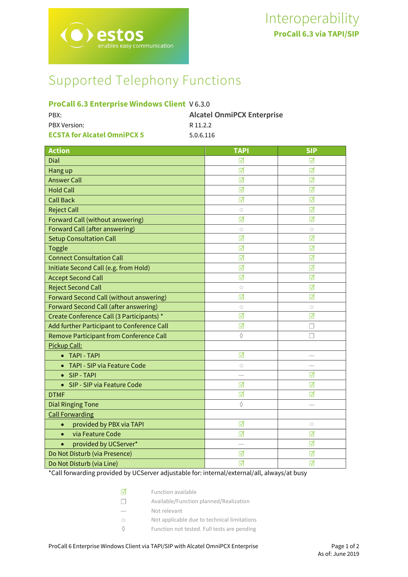# Supported Telephony Functions

# **ProCall 6.3 Enterprise Windows Client** V 6.3.0

| PBX:                               | <b>Alcatel OnmiPCX Enterprise</b> |
|------------------------------------|-----------------------------------|
| <b>PBX Version:</b>                | R 11.2.2                          |
| <b>ECSTA for Alcatel OmniPCX 5</b> | 5.0.6.116                         |

| <b>Action</b>                                | <b>TAPI</b>     | <b>SIP</b> |
|----------------------------------------------|-----------------|------------|
| Dial                                         | ⊽               | ☑          |
| Hang up                                      | ☑               | ⊽          |
| <b>Answer Call</b>                           | ⊽               | ⊽          |
| <b>Hold Call</b>                             | ☑               | ☑          |
| <b>Call Back</b>                             | ☑               | ☑          |
| <b>Reject Call</b>                           | $\circ$         | ⊽          |
| <b>Forward Call (without answering)</b>      | ⊺⊽              | ⊺√         |
| Forward Call (after answering)               | $\circ$         | $\circ$    |
| <b>Setup Consultation Call</b>               | ☑               | ☑          |
| Toggle                                       | ☑               | ☑          |
| <b>Connect Consultation Call</b>             | ☑               | ☑          |
| Initiate Second Call (e.g. from Hold)        | ☑               | ☑          |
| <b>Accept Second Call</b>                    | ☑               | ☑          |
| <b>Reject Second Call</b>                    | $\circ$         | ☑          |
| Forward Second Call (without answering)      | ⊺√              | ☑          |
| <b>Forward Second Call (after answering)</b> | $\circ$         | $\circ$    |
| Create Conference Call (3 Participants) *    | ☑               | ☑          |
| Add further Participant to Conference Call   | $\triangledown$ |            |
| Remove Participant from Conference Call      | ♦               | П          |
| Pickup Call:                                 |                 |            |
| • TAPI - TAPI                                | ☑               | -          |
| • TAPI - SIP via Feature Code                | $\circ$         |            |
| • SIP-TAPI                                   |                 | ☑          |
| SIP - SIP via Feature Code                   | ☑               | ☑          |
| <b>DTMF</b>                                  | ☑               | ☑          |
| <b>Dial Ringing Tone</b>                     | $\Diamond$      |            |
| <b>Call Forwarding</b>                       |                 |            |
| provided by PBX via TAPI<br>$\bullet$        | ☑               | $\circ$    |
| via Feature Code<br>$\bullet$                | ☑               | ☑          |
| provided by UCServer*<br>$\bullet$           |                 | ☑          |
| Do Not Disturb (via Presence)                | ☑               | ☑          |
| Do Not Disturb (via Line)                    | ☑               | ☑          |

\*Call forwarding provided by UCServer adjustable for: internal/external/all, always/at busy

| ।⊽           | Function available                          |
|--------------|---------------------------------------------|
| $\mathbf{1}$ | Available/Function planned/Realization      |
|              | Not relevant                                |
|              | Not applicable due to technical limitations |
|              | Function not tested. Full tests are pending |